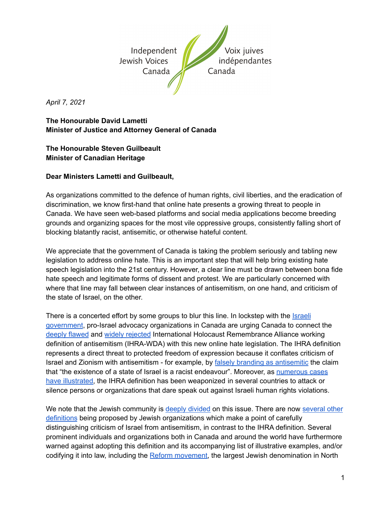

*April 7, 2021*

**The Honourable David Lametti Minister of Justice and Attorney General of Canada**

## **The Honourable Steven Guilbeault Minister of Canadian Heritage**

## **Dear Ministers Lametti and Guilbeault,**

As organizations committed to the defence of human rights, civil liberties, and the eradication of discrimination, we know first-hand that online hate presents a growing threat to people in Canada. We have seen web-based platforms and social media applications become breeding grounds and organizing spaces for the most vile oppressive groups, consistently falling short of blocking blatantly racist, antisemitic, or otherwise hateful content.

We appreciate that the government of Canada is taking the problem seriously and tabling new legislation to address online hate. This is an important step that will help bring existing hate speech legislation into the 21st century. However, a clear line must be drawn between bona fide hate speech and legitimate forms of dissent and protest. We are particularly concerned with where that line may fall between clear instances of antisemitism, on one hand, and criticism of the state of Israel, on the other.

There is a concerted effort by some groups to blur this line. In lockstep with the *[Israeli](https://www.jerusalemonline.com/knesset-proposes-new-ways-to-fight-social-media-anti-semitism/)* [government](https://www.jerusalemonline.com/knesset-proposes-new-ways-to-fight-social-media-anti-semitism/), pro-Israel advocacy organizations in Canada are urging Canada to connect the [deeply](https://www.noihra.ca/) flawed and widely [rejected](https://blogs.timesofisrael.com/whos-against-adopting-the-ihra-antisemitism-definition/) International Holocaust Remembrance Alliance working definition of antisemitism (IHRA-WDA) with this new online hate legislation. The IHRA definition represents a direct threat to protected freedom of expression because it conflates criticism of Israel and Zionism with antisemitism - for example, by falsely branding as [antisemitic](https://www.theguardian.com/news/2020/nov/29/palestinian-rights-and-the-ihra-definition-of-antisemitism) the claim that "the existence of a state of Israel is a racist endeavour". Moreover, as [numerous](https://www.ijvcanada.org/ihra-definition-at-work/) cases have [illustrated,](https://www.ijvcanada.org/ihra-definition-at-work/) the IHRA definition has been weaponized in several countries to attack or silence persons or organizations that dare speak out against Israeli human rights violations.

We note that the Jewish community is deeply [divided](https://www.ijvcanada.org/new-ekos-poll-jewish-canadians-sharply-divided-on-israel-palestine/) on this issue. There are now [several](https://jerusalemdeclaration.org/) other [definitions](https://jerusalemdeclaration.org/) being proposed by Jewish organizations which make a point of carefully distinguishing criticism of Israel from antisemitism, in contrast to the IHRA definition. Several prominent individuals and organizations both in Canada and around the world have furthermore warned against adopting this definition and its accompanying list of illustrative examples, and/or codifying it into law, including the Reform [movement,](https://www.jta.org/2021/01/25/united-states/reform-movement-ihra-definition-of-anti-semitism-is-helpful-but-should-not-be-codified-into-law) the largest Jewish denomination in North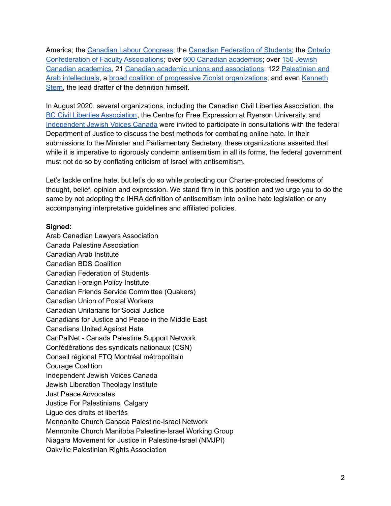America; the Canadian Labour [Congress](https://twitter.com/CanadianLabour/status/1235992781635629057?s=20); the Canadian [Federation](https://cfs-fcee.ca/cfs-supports-ijvs-definition-of-antisemitism/) of Students; the [Ontario](https://ocufa.on.ca/press-releases/ocufa-opposes-ontario-government-circumventing-democracy-and-public-debate-on-bill-168/) [Confederation](https://ocufa.on.ca/press-releases/ocufa-opposes-ontario-government-circumventing-democracy-and-public-debate-on-bill-168/) of Faculty Associations; over 600 Canadian [academics](https://www.ijvcanada.org/open-letter-from-canadian-academics-opposing-the-ihra-definition-of-antisemitism/); over 150 [Jewish](https://jewishfaculty.ca/) Canadian [academics,](https://jewishfaculty.ca/) 21 Canadian academic unions and [associations;](https://www.noihra.ca/academic-campaign) 122 [Palestinian](https://www.theguardian.com/news/2020/nov/29/palestinian-rights-and-the-ihra-definition-of-antisemitism) and Arab [intellectuals,](https://www.theguardian.com/news/2020/nov/29/palestinian-rights-and-the-ihra-definition-of-antisemitism) a broad coalition of progressive Zionist [organizations](https://www.progressiveisraelnetwork.org/progressive-israel-network-groups-oppose-codification-of-ihra-working-definition-of-antisemitism-citing-strong-potential-for-misuse/); and even [Kenneth](https://www.theguardian.com/commentisfree/2019/dec/13/antisemitism-executive-order-trump-chilling-effect) [Stern](https://www.theguardian.com/commentisfree/2019/dec/13/antisemitism-executive-order-trump-chilling-effect), the lead drafter of the definition himself.

In August 2020, several organizations, including the Canadian Civil Liberties Association, the BC Civil Liberties [Association,](https://bccla.org/wp-content/uploads/2021/03/1-Joint-Submission-Online-Hate-Consultation.pdf) the Centre for Free Expression at Ryerson University, and [Independent](https://www.ijvcanada.org/tackling-online-hate/) Jewish Voices Canada were invited to participate in consultations with the federal Department of Justice to discuss the best methods for combating online hate. In their submissions to the Minister and Parliamentary Secretary, these organizations asserted that while it is imperative to rigorously condemn antisemitism in all its forms, the federal government must not do so by conflating criticism of Israel with antisemitism.

Let's tackle online hate, but let's do so while protecting our Charter-protected freedoms of thought, belief, opinion and expression. We stand firm in this position and we urge you to do the same by not adopting the IHRA definition of antisemitism into online hate legislation or any accompanying interpretative guidelines and affiliated policies.

## **Signed:**

Arab Canadian Lawyers Association Canada Palestine Association Canadian Arab Institute Canadian BDS Coalition Canadian Federation of Students Canadian Foreign Policy Institute Canadian Friends Service Committee (Quakers) Canadian Union of Postal Workers Canadian Unitarians for Social Justice Canadians for Justice and Peace in the Middle East Canadians United Against Hate CanPalNet - Canada Palestine Support Network Confédérations des syndicats nationaux (CSN) Conseil régional FTQ Montréal métropolitain Courage Coalition Independent Jewish Voices Canada Jewish Liberation Theology Institute Just Peace Advocates Justice For Palestinians, Calgary Ligue des droits et libertés Mennonite Church Canada Palestine-Israel Network Mennonite Church Manitoba Palestine-Israel Working Group Niagara Movement for Justice in Palestine-Israel (NMJPI) Oakville Palestinian Rights Association